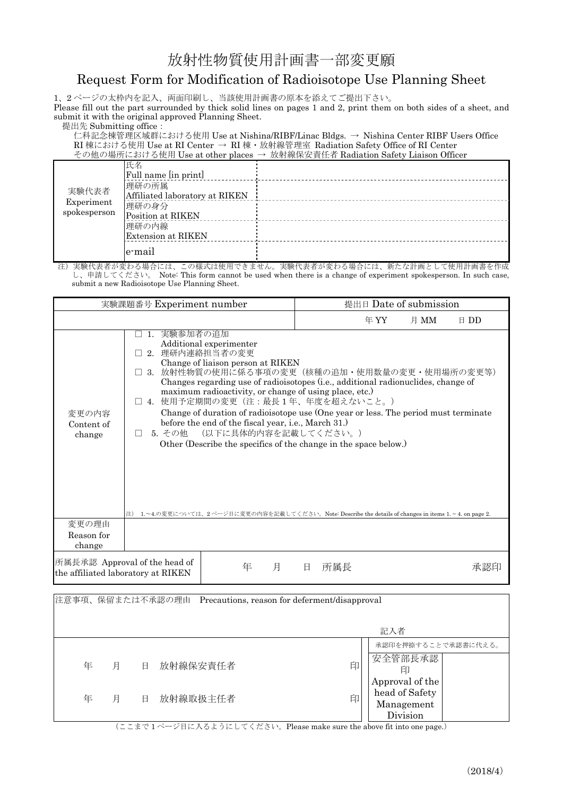# 放射性物質使用計画書一部変更願

## Request Form for Modification of Radioisotope Use Planning Sheet

1、2 ページの太枠内を記入、両面印刷し、当該使用計画書の原本を添えてご提出下さい。

Please fill out the part surrounded by thick solid lines on pages 1 and 2, print them on both sides of a sheet, and submit it with the original approved Planning Sheet.

提出先 Submitting office:

仁科記念棟管理区域群における使用 Use at Nishina/RIBF/Linac Bldgs. → Nishina Center RIBF Users Office RI 棟における使用 Use at RI Center → RI 棟・放射線管理室 Radiation Safety Office of RI Center その他の場所における使用 Use at other places → 放射線保安責任者 Radiation Safety Liaison Officer

| 実験代表者                      | 氏名<br>Full name [in print]              |  |
|----------------------------|-----------------------------------------|--|
|                            | 理研の所属<br>Affiliated laboratory at RIKEN |  |
| Experiment<br>spokesperson | 理研の身分<br>Position at RIKEN              |  |
|                            | 理研の内線<br>Extension at RIKEN             |  |
|                            | e-mail                                  |  |

注)実験代表者が変わる場合には、この様式は使用できません。実験代表者が変わる場合には、新たな計画として使用計画書を作成 し、申請してください。 Note: This form cannot be used when there is a change of experiment spokesperson. In such case, submit a new Radioisotope Use Planning Sheet.

|                                    | 実験課題番号 Experiment number            |                                                                                                                                                                                                              |   |   |                                                                                                                                                                                                                                                                                                                                                                                                                                      | 提出日 Date of submission |               |
|------------------------------------|-------------------------------------|--------------------------------------------------------------------------------------------------------------------------------------------------------------------------------------------------------------|---|---|--------------------------------------------------------------------------------------------------------------------------------------------------------------------------------------------------------------------------------------------------------------------------------------------------------------------------------------------------------------------------------------------------------------------------------------|------------------------|---------------|
|                                    |                                     |                                                                                                                                                                                                              |   |   | 年YY                                                                                                                                                                                                                                                                                                                                                                                                                                  | 月 MM                   | $\boxplus$ DD |
| 変更の内容<br>Content of<br>change      | 1. 実験参加者の追加<br>2. 理研内連絡担当者の変更<br>注) | Additional experimenter<br>Change of liaison person at RIKEN<br>maximum radioactivity, or change of using place, etc.)<br>before the end of the fiscal year, i.e., March 31.)<br>5. その他 (以下に具体的内容を記載してください。) |   |   | 3. 放射性物質の使用に係る事項の変更(核種の追加・使用数量の変更・使用場所の変更等)<br>Changes regarding use of radioisotopes (i.e., additional radionuclides, change of<br>4. 使用予定期間の変更(注:最長1年、年度を超えないこと。)<br>Change of duration of radioisotope use (One year or less. The period must terminate<br>Other (Describe the specifics of the change in the space below.)<br>1.~4.の変更については、2ページ目に変更の内容を記載してください。Note: Describe the details of changes in items 1.~4. on page 2. |                        |               |
| 変更の理由<br>Reason for<br>change      |                                     |                                                                                                                                                                                                              |   |   |                                                                                                                                                                                                                                                                                                                                                                                                                                      |                        |               |
| the affiliated laboratory at RIKEN | 所属長承認 Approval of the head of       | 年                                                                                                                                                                                                            | 月 | 日 | 所属長                                                                                                                                                                                                                                                                                                                                                                                                                                  |                        | 承認印           |

|   |   |  |            | 注意事項、保留または不承認の理由 Precautions, reason for deferment/disapproval |   |                                                             |                     |
|---|---|--|------------|----------------------------------------------------------------|---|-------------------------------------------------------------|---------------------|
|   |   |  |            |                                                                |   | 記入者                                                         |                     |
|   |   |  |            |                                                                |   |                                                             | 承認印を押捺することで承認書に代える。 |
| 年 | 月 |  | 日 放射線保安責任者 |                                                                | 印 | 安全管部長承認                                                     |                     |
| 年 | 月 |  | 日 放射線取扱主任者 |                                                                | 印 | Approval of the<br>head of Safety<br>Management<br>Division |                     |

(ここまで 1 ページ目に入るようにしてください。Please make sure the above fit into one page.)